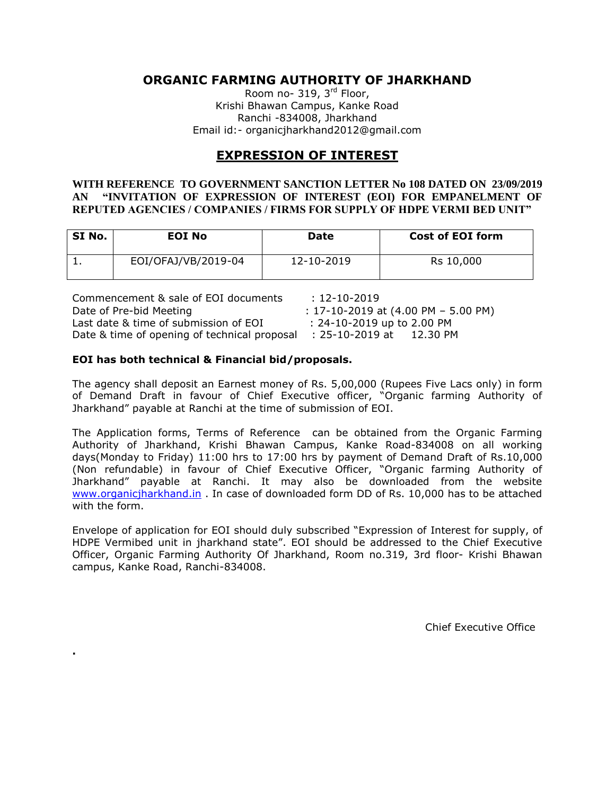## **ORGANIC FARMING AUTHORITY OF JHARKHAND**

Room no- 319, 3<sup>rd</sup> Floor, Krishi Bhawan Campus, Kanke Road Ranchi -834008, Jharkhand Email id:- organicjharkhand2012@gmail.com

## **EXPRESSION OF INTEREST**

#### **WITH REFERENCE TO GOVERNMENT SANCTION LETTER No 108 DATED ON 23/09/2019 AN "INVITATION OF EXPRESSION OF INTEREST (EOI) FOR EMPANELMENT OF REPUTED AGENCIES / COMPANIES / FIRMS FOR SUPPLY OF HDPE VERMI BED UNIT"**

| SI No. | <b>EOI No</b>       | Date       | <b>Cost of EOI form</b> |
|--------|---------------------|------------|-------------------------|
|        | EOI/OFAJ/VB/2019-04 | 12-10-2019 | Rs 10,000               |

| Commencement & sale of EOI documents                         | : 12-10-2019                              |
|--------------------------------------------------------------|-------------------------------------------|
| Date of Pre-bid Meeting                                      | $: 17 - 10 - 2019$ at (4.00 PM - 5.00 PM) |
| Last date & time of submission of EOI                        | $: 24 - 10 - 2019$ up to 2.00 PM          |
| Date & time of opening of technical proposal : 25-10-2019 at | 12.30 PM                                  |

#### **EOI has both technical & Financial bid/proposals.**

**.**

The agency shall deposit an Earnest money of Rs. 5,00,000 (Rupees Five Lacs only) in form of Demand Draft in favour of Chief Executive officer, "Organic farming Authority of Jharkhand" payable at Ranchi at the time of submission of EOI.

The Application forms, Terms of Reference can be obtained from the Organic Farming Authority of Jharkhand, Krishi Bhawan Campus, Kanke Road-834008 on all working days(Monday to Friday) 11:00 hrs to 17:00 hrs by payment of Demand Draft of Rs.10,000 (Non refundable) in favour of Chief Executive Officer, "Organic farming Authority of Jharkhand" payable at Ranchi. It may also be downloaded from the website [www.organicjharkhand.in](http://www.organicjharkhand.in/) . In case of downloaded form DD of Rs. 10,000 has to be attached with the form.

Envelope of application for EOI should duly subscribed "Expression of Interest for supply, of HDPE Vermibed unit in jharkhand state". EOI should be addressed to the Chief Executive Officer, Organic Farming Authority Of Jharkhand, Room no.319, 3rd floor- Krishi Bhawan campus, Kanke Road, Ranchi-834008.

Chief Executive Office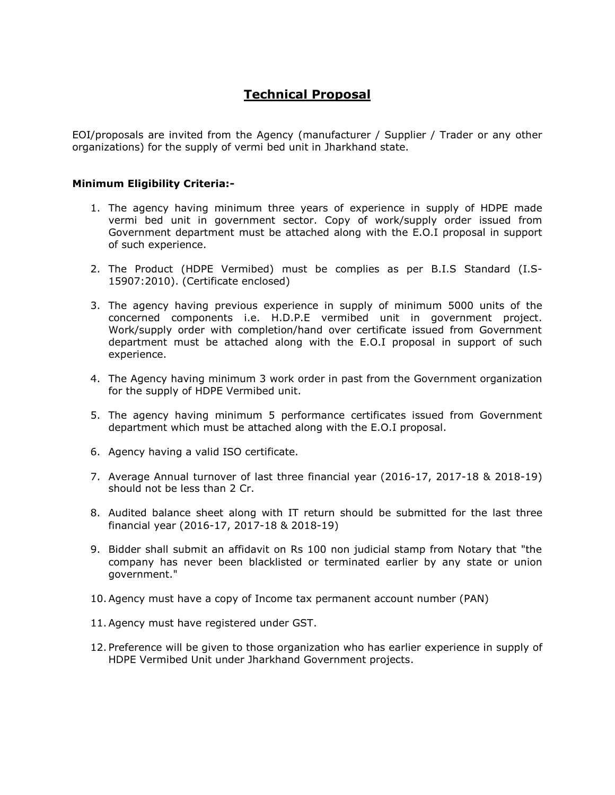# **Technical Proposal**

EOI/proposals are invited from the Agency (manufacturer / Supplier / Trader or any other organizations) for the supply of vermi bed unit in Jharkhand state.

#### **Minimum Eligibility Criteria:-**

- 1. The agency having minimum three years of experience in supply of HDPE made vermi bed unit in government sector. Copy of work/supply order issued from Government department must be attached along with the E.O.I proposal in support of such experience.
- 2. The Product (HDPE Vermibed) must be complies as per B.I.S Standard (I.S-15907:2010). (Certificate enclosed)
- 3. The agency having previous experience in supply of minimum 5000 units of the concerned components i.e. H.D.P.E vermibed unit in government project. Work/supply order with completion/hand over certificate issued from Government department must be attached along with the E.O.I proposal in support of such experience.
- 4. The Agency having minimum 3 work order in past from the Government organization for the supply of HDPE Vermibed unit.
- 5. The agency having minimum 5 performance certificates issued from Government department which must be attached along with the E.O.I proposal.
- 6. Agency having a valid ISO certificate.
- 7. Average Annual turnover of last three financial year (2016-17, 2017-18 & 2018-19) should not be less than 2 Cr.
- 8. Audited balance sheet along with IT return should be submitted for the last three financial year (2016-17, 2017-18 & 2018-19)
- 9. Bidder shall submit an affidavit on Rs 100 non judicial stamp from Notary that "the company has never been blacklisted or terminated earlier by any state or union government."
- 10.Agency must have a copy of Income tax permanent account number (PAN)
- 11.Agency must have registered under GST.
- 12. Preference will be given to those organization who has earlier experience in supply of HDPE Vermibed Unit under Jharkhand Government projects.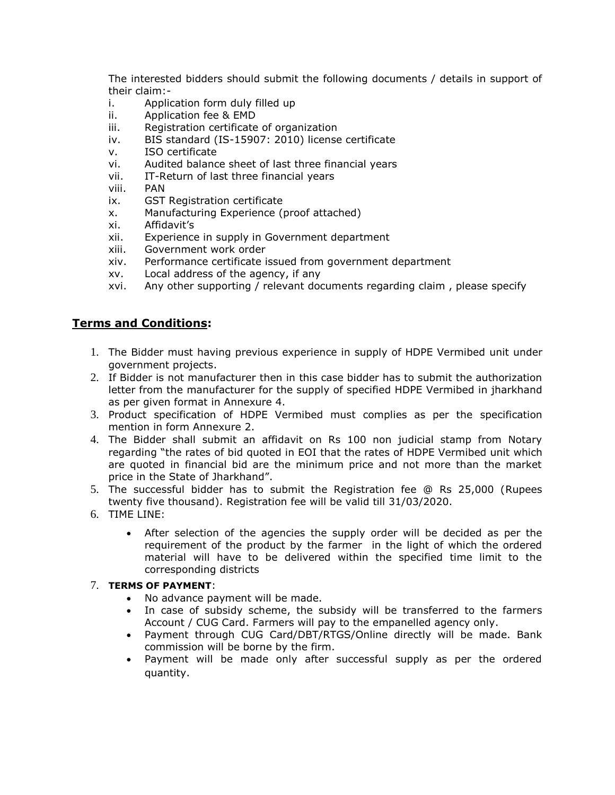The interested bidders should submit the following documents / details in support of their claim:-

- i. Application form duly filled up
- ii. Application fee & EMD
- iii. Registration certificate of organization
- iv. BIS standard (IS-15907: 2010) license certificate
- v. ISO certificate
- vi. Audited balance sheet of last three financial years
- vii. IT-Return of last three financial years
- viii. PAN
- ix. GST Registration certificate
- x. Manufacturing Experience (proof attached)
- xi. Affidavit's
- xii. Experience in supply in Government department
- xiii. Government work order
- xiv. Performance certificate issued from government department
- xv. Local address of the agency, if any
- xvi. Any other supporting / relevant documents regarding claim , please specify

## **Terms and Conditions:**

- 1. The Bidder must having previous experience in supply of HDPE Vermibed unit under government projects.
- 2. If Bidder is not manufacturer then in this case bidder has to submit the authorization letter from the manufacturer for the supply of specified HDPE Vermibed in jharkhand as per given format in Annexure 4.
- 3. Product specification of HDPE Vermibed must complies as per the specification mention in form Annexure 2.
- 4. The Bidder shall submit an affidavit on Rs 100 non judicial stamp from Notary regarding "the rates of bid quoted in EOI that the rates of HDPE Vermibed unit which are quoted in financial bid are the minimum price and not more than the market price in the State of Jharkhand".
- 5. The successful bidder has to submit the Registration fee @ Rs 25,000 (Rupees twenty five thousand). Registration fee will be valid till 31/03/2020.
- 6. TIME LINE:
	- After selection of the agencies the supply order will be decided as per the requirement of the product by the farmer in the light of which the ordered material will have to be delivered within the specified time limit to the corresponding districts

#### 7. **TERMS OF PAYMENT**:

- No advance payment will be made.
- In case of subsidy scheme, the subsidy will be transferred to the farmers Account / CUG Card. Farmers will pay to the empanelled agency only.
- Payment through CUG Card/DBT/RTGS/Online directly will be made. Bank commission will be borne by the firm.
- Payment will be made only after successful supply as per the ordered quantity.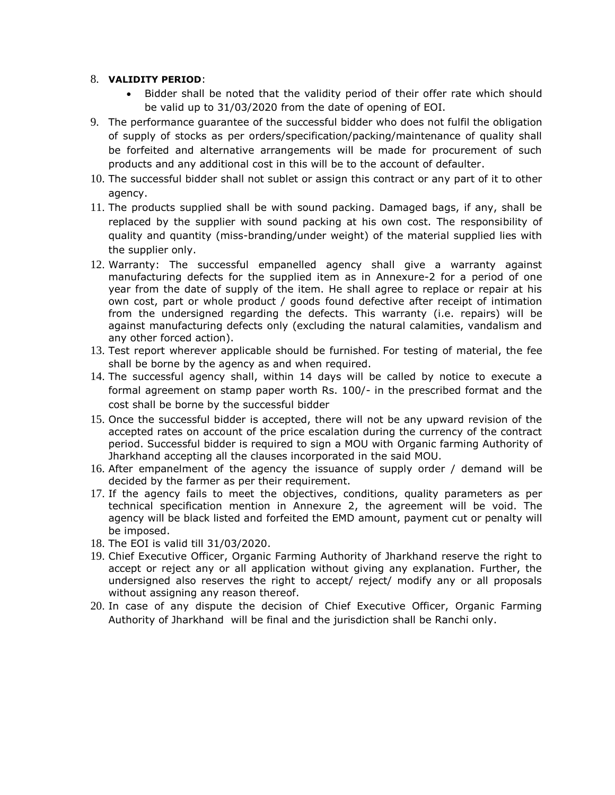#### 8. **VALIDITY PERIOD**:

- Bidder shall be noted that the validity period of their offer rate which should be valid up to 31/03/2020 from the date of opening of EOI.
- 9. The performance guarantee of the successful bidder who does not fulfil the obligation of supply of stocks as per orders/specification/packing/maintenance of quality shall be forfeited and alternative arrangements will be made for procurement of such products and any additional cost in this will be to the account of defaulter.
- 10. The successful bidder shall not sublet or assign this contract or any part of it to other agency.
- 11. The products supplied shall be with sound packing. Damaged bags, if any, shall be replaced by the supplier with sound packing at his own cost. The responsibility of quality and quantity (miss-branding/under weight) of the material supplied lies with the supplier only.
- 12. Warranty: The successful empanelled agency shall give a warranty against manufacturing defects for the supplied item as in Annexure-2 for a period of one year from the date of supply of the item. He shall agree to replace or repair at his own cost, part or whole product / goods found defective after receipt of intimation from the undersigned regarding the defects. This warranty (i.e. repairs) will be against manufacturing defects only (excluding the natural calamities, vandalism and any other forced action).
- 13. Test report wherever applicable should be furnished. For testing of material, the fee shall be borne by the agency as and when required.
- 14. The successful agency shall, within 14 days will be called by notice to execute a formal agreement on stamp paper worth Rs. 100/- in the prescribed format and the cost shall be borne by the successful bidder
- 15. Once the successful bidder is accepted, there will not be any upward revision of the accepted rates on account of the price escalation during the currency of the contract period. Successful bidder is required to sign a MOU with Organic farming Authority of Jharkhand accepting all the clauses incorporated in the said MOU.
- 16. After empanelment of the agency the issuance of supply order / demand will be decided by the farmer as per their requirement.
- 17. If the agency fails to meet the objectives, conditions, quality parameters as per technical specification mention in Annexure 2, the agreement will be void. The agency will be black listed and forfeited the EMD amount, payment cut or penalty will be imposed.
- 18. The EOI is valid till 31/03/2020.
- 19. Chief Executive Officer, Organic Farming Authority of Jharkhand reserve the right to accept or reject any or all application without giving any explanation. Further, the undersigned also reserves the right to accept/ reject/ modify any or all proposals without assigning any reason thereof.
- 20. In case of any dispute the decision of Chief Executive Officer, Organic Farming Authority of Jharkhand will be final and the jurisdiction shall be Ranchi only.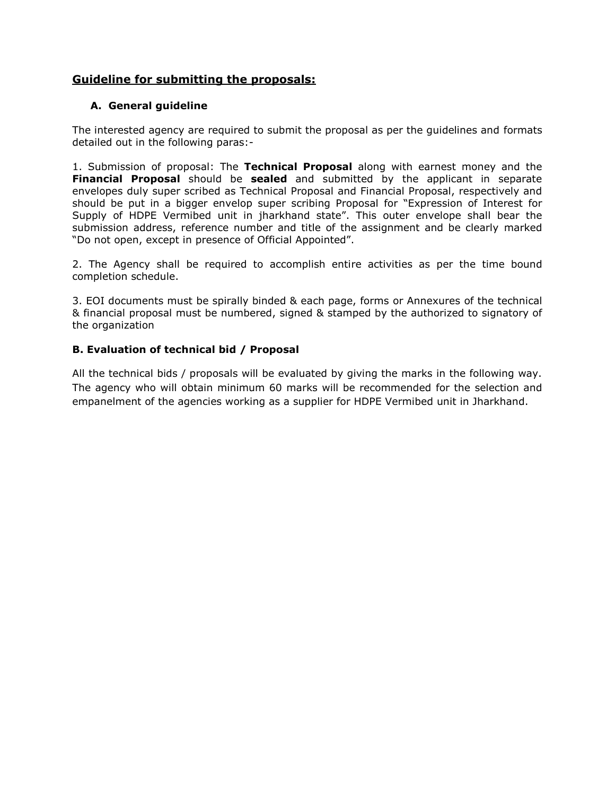## **Guideline for submitting the proposals:**

### **A. General guideline**

The interested agency are required to submit the proposal as per the guidelines and formats detailed out in the following paras:-

1. Submission of proposal: The **Technical Proposal** along with earnest money and the **Financial Proposal** should be **sealed** and submitted by the applicant in separate envelopes duly super scribed as Technical Proposal and Financial Proposal, respectively and should be put in a bigger envelop super scribing Proposal for "Expression of Interest for Supply of HDPE Vermibed unit in jharkhand state". This outer envelope shall bear the submission address, reference number and title of the assignment and be clearly marked "Do not open, except in presence of Official Appointed".

2. The Agency shall be required to accomplish entire activities as per the time bound completion schedule.

3. EOI documents must be spirally binded & each page, forms or Annexures of the technical & financial proposal must be numbered, signed & stamped by the authorized to signatory of the organization

#### **B. Evaluation of technical bid / Proposal**

All the technical bids / proposals will be evaluated by giving the marks in the following way. The agency who will obtain minimum 60 marks will be recommended for the selection and empanelment of the agencies working as a supplier for HDPE Vermibed unit in Jharkhand.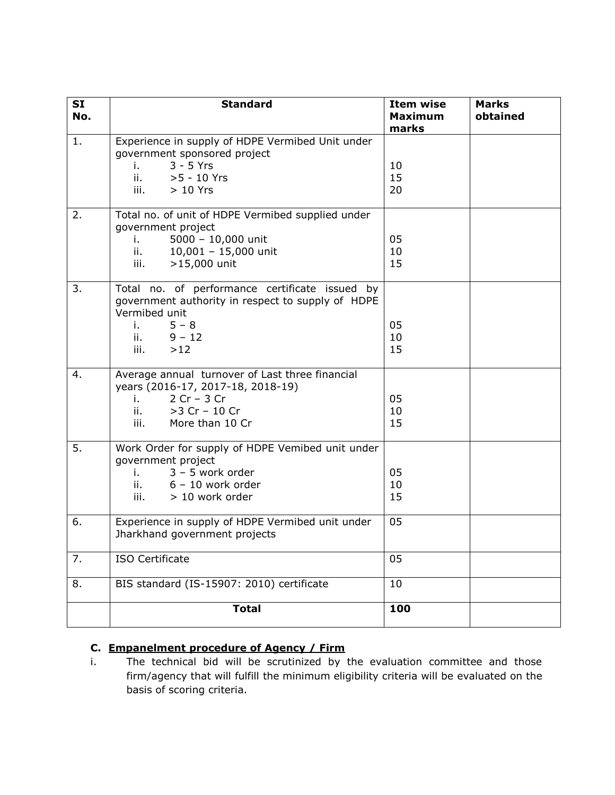| <b>SI</b><br>No. | <b>Standard</b>                                                                                                                                                                           | <b>Item wise</b><br><b>Maximum</b><br>marks | <b>Marks</b><br>obtained |
|------------------|-------------------------------------------------------------------------------------------------------------------------------------------------------------------------------------------|---------------------------------------------|--------------------------|
| 1.               | Experience in supply of HDPE Vermibed Unit under<br>government sponsored project<br>$3 - 5$ Yrs<br>i. I<br>>5 - 10 Yrs<br>ii.<br>iii.<br>$>10$ Yrs                                        | 10<br>15<br>20                              |                          |
| 2.               | Total no. of unit of HDPE Vermibed supplied under<br>government project<br>$5000 - 10,000$ unit<br>i.<br>$\mathbf{ii}$ , $\mathbf{iii}$<br>$10,001 - 15,000$ unit<br>>15,000 unit<br>iii. | 05<br>10<br>15                              |                          |
| 3.               | Total no. of performance certificate issued by<br>government authority in respect to supply of HDPE<br>Vermibed unit<br>$5 - 8$<br>i.<br>ii. $9 - 12$<br>iii.<br>$>12$                    | 05<br>10<br>15                              |                          |
| 4.               | Average annual turnover of Last three financial<br>years (2016-17, 2017-18, 2018-19)<br>$2 Cr - 3 Cr$<br>i. A<br>ii.<br>>3 Cr - 10 Cr<br>iii.<br>More than 10 Cr                          | 05<br>10<br>15                              |                          |
| 5.               | Work Order for supply of HDPE Vemibed unit under<br>government project<br>$3 - 5$ work order<br>i. a<br>$\mathbf{ii}$ , $\mathbf{iii}$<br>$6 - 10$ work order<br>iii.<br>> 10 work order  | 05<br>10<br>15                              |                          |
| 6.               | Experience in supply of HDPE Vermibed unit under<br>Jharkhand government projects                                                                                                         | 05                                          |                          |
| 7.               | ISO Certificate                                                                                                                                                                           | 05                                          |                          |
| 8.               | BIS standard (IS-15907: 2010) certificate                                                                                                                                                 | 10                                          |                          |
|                  | <b>Total</b>                                                                                                                                                                              | 100                                         |                          |

# **C. Empanelment procedure of Agency / Firm**

i. The technical bid will be scrutinized by the evaluation committee and those firm/agency that will fulfill the minimum eligibility criteria will be evaluated on the basis of scoring criteria.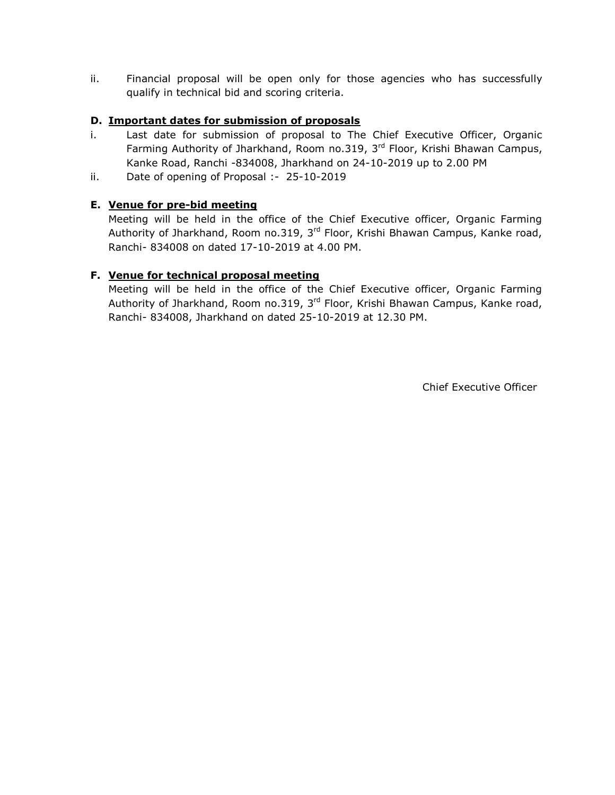ii. Financial proposal will be open only for those agencies who has successfully qualify in technical bid and scoring criteria.

### **D. Important dates for submission of proposals**

- i. Last date for submission of proposal to The Chief Executive Officer, Organic Farming Authority of Jharkhand, Room no.319, 3<sup>rd</sup> Floor, Krishi Bhawan Campus, Kanke Road, Ranchi -834008, Jharkhand on 24-10-2019 up to 2.00 PM
- ii. Date of opening of Proposal :- 25-10-2019

## **E. Venue for pre-bid meeting**

Meeting will be held in the office of the Chief Executive officer, Organic Farming Authority of Jharkhand, Room no.319, 3<sup>rd</sup> Floor, Krishi Bhawan Campus, Kanke road, Ranchi- 834008 on dated 17-10-2019 at 4.00 PM.

### **F. Venue for technical proposal meeting**

Meeting will be held in the office of the Chief Executive officer, Organic Farming Authority of Jharkhand, Room no.319, 3<sup>rd</sup> Floor, Krishi Bhawan Campus, Kanke road, Ranchi- 834008, Jharkhand on dated 25-10-2019 at 12.30 PM.

Chief Executive Officer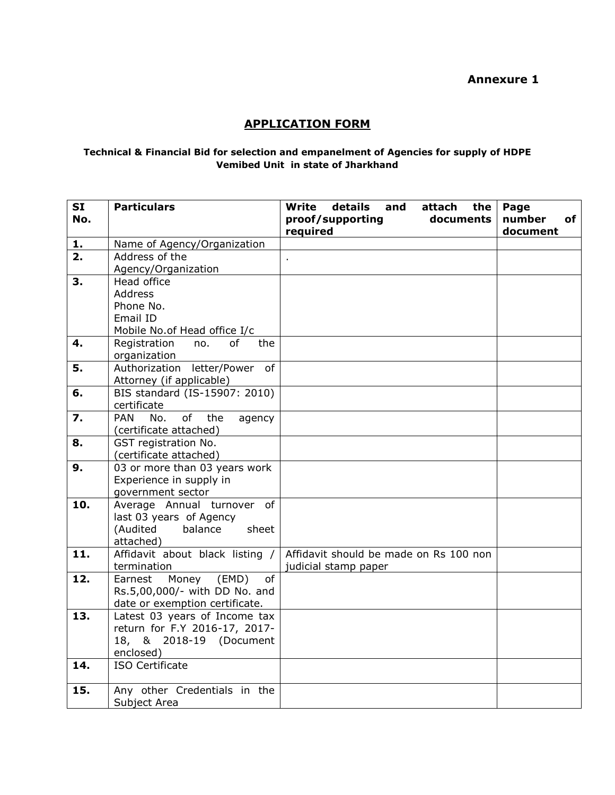# **APPLICATION FORM**

#### **Technical & Financial Bid for selection and empanelment of Agencies for supply of HDPE Vemibed Unit in state of Jharkhand**

| <b>SI</b>        | <b>Particulars</b>                                              | details<br><b>Write</b><br>and<br>attach<br>the | Page         |
|------------------|-----------------------------------------------------------------|-------------------------------------------------|--------------|
| No.              |                                                                 | proof/supporting<br>documents                   | number<br>of |
|                  |                                                                 | required                                        | document     |
| 1.               | Name of Agency/Organization                                     |                                                 |              |
| 2.               | Address of the                                                  | ä,                                              |              |
|                  | Agency/Organization                                             |                                                 |              |
| 3.               | Head office                                                     |                                                 |              |
|                  | <b>Address</b>                                                  |                                                 |              |
|                  | Phone No.                                                       |                                                 |              |
|                  | Email ID                                                        |                                                 |              |
|                  | Mobile No.of Head office I/c                                    |                                                 |              |
| 4.               | Registration<br>of<br>no.<br>the                                |                                                 |              |
|                  | organization                                                    |                                                 |              |
| 5.               | Authorization letter/Power of                                   |                                                 |              |
|                  | Attorney (if applicable)                                        |                                                 |              |
| 6.               | BIS standard (IS-15907: 2010)                                   |                                                 |              |
|                  | certificate                                                     |                                                 |              |
| $\overline{z}$ . | <b>PAN</b><br>No.<br>of<br>the<br>agency                        |                                                 |              |
|                  | (certificate attached)                                          |                                                 |              |
| 8.               | GST registration No.                                            |                                                 |              |
|                  | (certificate attached)                                          |                                                 |              |
| 9.               | 03 or more than 03 years work                                   |                                                 |              |
|                  | Experience in supply in                                         |                                                 |              |
|                  | government sector                                               |                                                 |              |
| 10.              | Average Annual turnover of                                      |                                                 |              |
|                  | last 03 years of Agency                                         |                                                 |              |
|                  | (Audited<br>balance<br>sheet                                    |                                                 |              |
|                  | attached)                                                       |                                                 |              |
| 11.              | Affidavit about black listing /                                 | Affidavit should be made on Rs 100 non          |              |
|                  | termination                                                     | judicial stamp paper                            |              |
| 12.              | (EMD)<br>Money<br>of<br>Earnest                                 |                                                 |              |
|                  | Rs.5,00,000/- with DD No. and                                   |                                                 |              |
| 13.              | date or exemption certificate.<br>Latest 03 years of Income tax |                                                 |              |
|                  | return for F.Y 2016-17, 2017-                                   |                                                 |              |
|                  | 18, & 2018-19 (Document                                         |                                                 |              |
|                  | enclosed)                                                       |                                                 |              |
| 14.              | <b>ISO Certificate</b>                                          |                                                 |              |
|                  |                                                                 |                                                 |              |
| 15.              | Any other Credentials in the                                    |                                                 |              |
|                  | Subject Area                                                    |                                                 |              |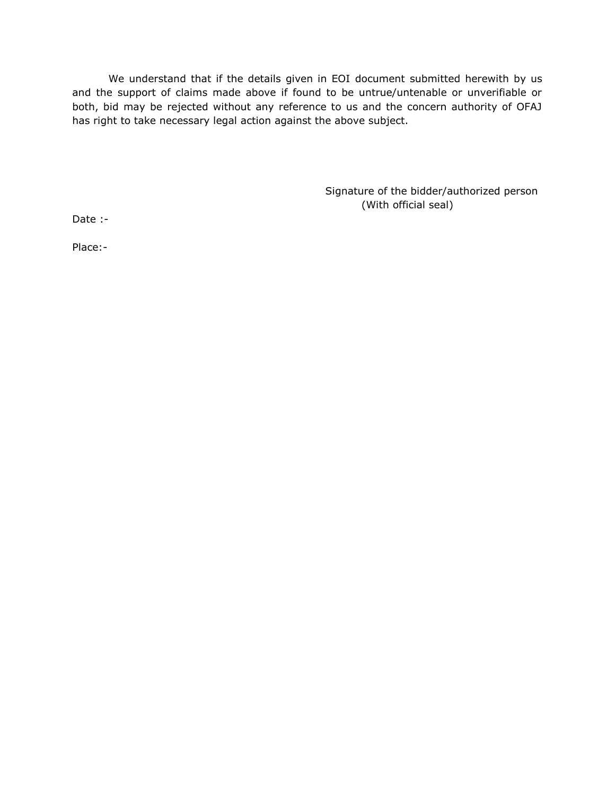We understand that if the details given in EOI document submitted herewith by us and the support of claims made above if found to be untrue/untenable or unverifiable or both, bid may be rejected without any reference to us and the concern authority of OFAJ has right to take necessary legal action against the above subject.

> Signature of the bidder/authorized person (With official seal)

Date :-

Place:-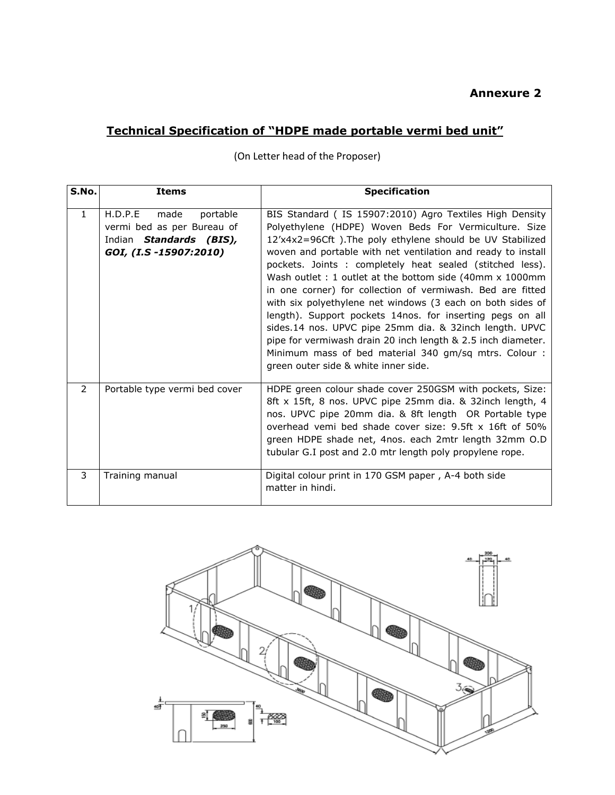# **Technical Specification of "HDPE made portable vermi bed unit"**

| S.No.         | <b>Items</b>                                                                                                   | <b>Specification</b>                                                                                                                                                                                                                                                                                                                                                                                                                                                                                                                                                                                                                                                                                                                                                                        |
|---------------|----------------------------------------------------------------------------------------------------------------|---------------------------------------------------------------------------------------------------------------------------------------------------------------------------------------------------------------------------------------------------------------------------------------------------------------------------------------------------------------------------------------------------------------------------------------------------------------------------------------------------------------------------------------------------------------------------------------------------------------------------------------------------------------------------------------------------------------------------------------------------------------------------------------------|
| $\mathbf{1}$  | H.D.P.E<br>made<br>portable<br>vermi bed as per Bureau of<br>Indian Standards (BIS),<br>GOI, (I.S -15907:2010) | BIS Standard (IS 15907:2010) Agro Textiles High Density<br>Polyethylene (HDPE) Woven Beds For Vermiculture. Size<br>12'x4x2=96Cft). The poly ethylene should be UV Stabilized<br>woven and portable with net ventilation and ready to install<br>pockets. Joints : completely heat sealed (stitched less).<br>Wash outlet : 1 outlet at the bottom side (40mm x 1000mm<br>in one corner) for collection of vermiwash. Bed are fitted<br>with six polyethylene net windows (3 each on both sides of<br>length). Support pockets 14nos. for inserting pegs on all<br>sides.14 nos. UPVC pipe 25mm dia. & 32inch length. UPVC<br>pipe for vermiwash drain 20 inch length & 2.5 inch diameter.<br>Minimum mass of bed material 340 gm/sq mtrs. Colour :<br>green outer side & white inner side. |
| $\mathcal{P}$ | Portable type vermi bed cover                                                                                  | HDPE green colour shade cover 250GSM with pockets, Size:<br>8ft x 15ft, 8 nos. UPVC pipe 25mm dia. & 32inch length, 4<br>nos. UPVC pipe 20mm dia. & 8ft length OR Portable type<br>overhead vemi bed shade cover size: 9.5ft x 16ft of 50%<br>green HDPE shade net, 4nos. each 2mtr length 32mm O.D<br>tubular G.I post and 2.0 mtr length poly propylene rope.                                                                                                                                                                                                                                                                                                                                                                                                                             |
| 3             | Training manual                                                                                                | Digital colour print in 170 GSM paper, A-4 both side<br>matter in hindi.                                                                                                                                                                                                                                                                                                                                                                                                                                                                                                                                                                                                                                                                                                                    |

(On Letter head of the Proposer)

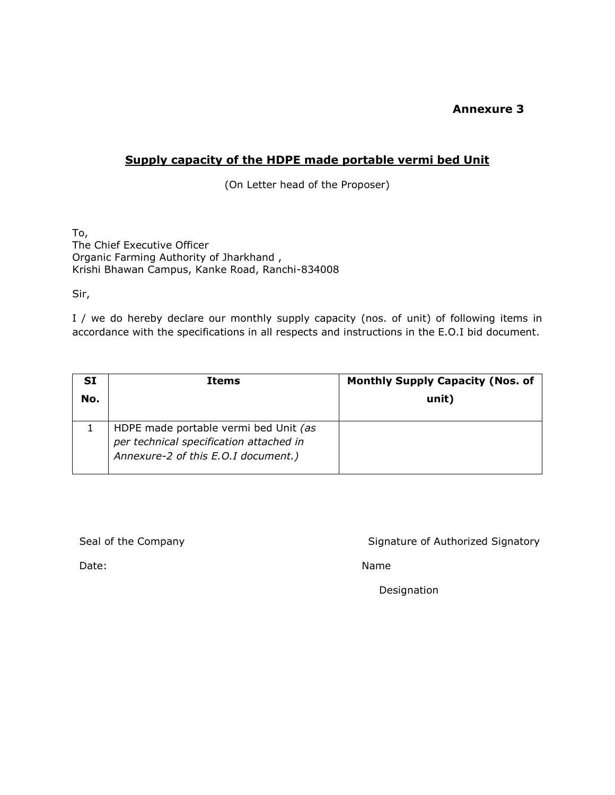## **Supply capacity of the HDPE made portable vermi bed Unit**

(On Letter head of the Proposer)

To, The Chief Executive Officer Organic Farming Authority of Jharkhand , Krishi Bhawan Campus, Kanke Road, Ranchi-834008

Sir,

I / we do hereby declare our monthly supply capacity (nos. of unit) of following items in accordance with the specifications in all respects and instructions in the E.O.I bid document.

| SI<br>No. | <b>Items</b>                                                                                                            | <b>Monthly Supply Capacity (Nos. of</b><br>unit) |
|-----------|-------------------------------------------------------------------------------------------------------------------------|--------------------------------------------------|
|           | HDPE made portable vermi bed Unit (as<br>per technical specification attached in<br>Annexure-2 of this E.O.I document.) |                                                  |

Seal of the Company Seal of the Company Signature of Authorized Signatory

Date: Name

Designation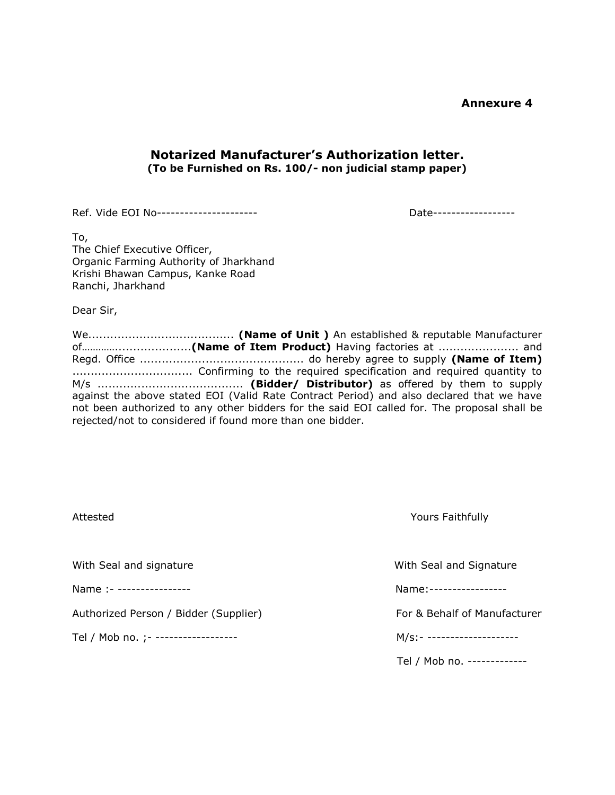## **Notarized Manufacturer's Authorization letter. (To be Furnished on Rs. 100/- non judicial stamp paper)**

Ref. Vide EOI No---------------------- Date------------------

To, The Chief Executive Officer, Organic Farming Authority of Jharkhand Krishi Bhawan Campus, Kanke Road Ranchi, Jharkhand

Dear Sir,

We........................................ **(Name of Unit )** An established & reputable Manufacturer of………….....................**(Name of Item Product)** Having factories at ...................... and Regd. Office ............................................. do hereby agree to supply **(Name of Item)**  ................................. Confirming to the required specification and required quantity to M/s ........................................ **(Bidder/ Distributor)** as offered by them to supply against the above stated EOI (Valid Rate Contract Period) and also declared that we have not been authorized to any other bidders for the said EOI called for. The proposal shall be rejected/not to considered if found more than one bidder.

| Attested                              | Yours Faithfully             |  |
|---------------------------------------|------------------------------|--|
| With Seal and signature               | With Seal and Signature      |  |
| Name :- ----------------              | Name:-----------------       |  |
| Authorized Person / Bidder (Supplier) | For & Behalf of Manufacturer |  |
| Tel / Mob no. ; - ------------------  | M/s:- --------------------   |  |
|                                       | Tel / Mob no. -------------  |  |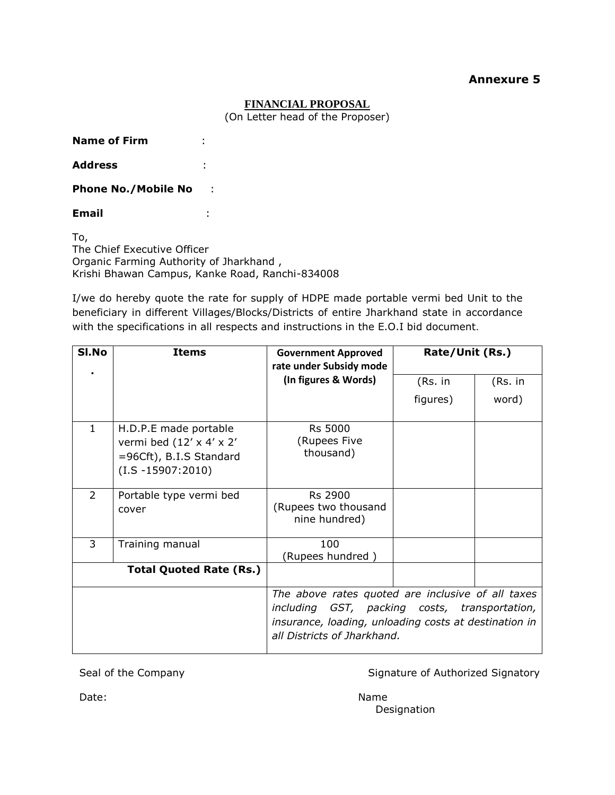#### **FINANCIAL PROPOSAL**

(On Letter head of the Proposer)

**Name of Firm** :

**Address** :

**Phone No./Mobile No** :

**Email** :

To, The Chief Executive Officer Organic Farming Authority of Jharkhand , Krishi Bhawan Campus, Kanke Road, Ranchi-834008

I/we do hereby quote the rate for supply of HDPE made portable vermi bed Unit to the beneficiary in different Villages/Blocks/Districts of entire Jharkhand state in accordance with the specifications in all respects and instructions in the E.O.I bid document.

| SI.No          | <b>Items</b>                                                                                                      | <b>Government Approved</b><br>rate under Subsidy mode                                                                                                                                      | Rate/Unit (Rs.) |         |
|----------------|-------------------------------------------------------------------------------------------------------------------|--------------------------------------------------------------------------------------------------------------------------------------------------------------------------------------------|-----------------|---------|
|                |                                                                                                                   | (In figures & Words)                                                                                                                                                                       | (Rs. in         | (Rs. in |
|                |                                                                                                                   |                                                                                                                                                                                            | figures)        | word)   |
| 1              | H.D.P.E made portable<br>vermi bed $(12' \times 4' \times 2')$<br>=96Cft), B.I.S Standard<br>$(I.S - 15907:2010)$ | <b>Rs 5000</b><br>(Rupees Five<br>thousand)                                                                                                                                                |                 |         |
| $\overline{2}$ | Portable type vermi bed<br>cover                                                                                  | Rs 2900<br>(Rupees two thousand<br>nine hundred)                                                                                                                                           |                 |         |
| 3              | Training manual                                                                                                   | 100<br>(Rupees hundred )                                                                                                                                                                   |                 |         |
|                | <b>Total Quoted Rate (Rs.)</b>                                                                                    |                                                                                                                                                                                            |                 |         |
|                |                                                                                                                   | The above rates quoted are inclusive of all taxes<br>including GST, packing costs, transportation,<br>insurance, loading, unloading costs at destination in<br>all Districts of Jharkhand. |                 |         |

Seal of the Company Signature of Authorized Signatory

Designation

Date: Name